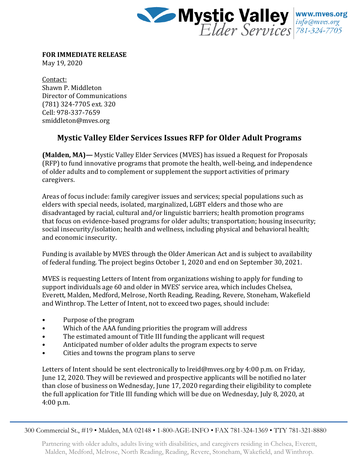

**FOR IMMEDIATE RELEASE**

May 19, 2020

Contact: Shawn P. Middleton Director of Communications (781) 324-7705 ext. 320 Cell: 978-337-7659 smiddleton@mves.org

## **Mystic Valley Elder Services Issues RFP for Older Adult Programs**

**(Malden, MA)—** Mystic Valley Elder Services (MVES) has issued a Request for Proposals (RFP) to fund innovative programs that promote the health, well-being, and independence of older adults and to complement or supplement the support activities of primary caregivers.

Areas of focus include: family caregiver issues and services; special populations such as elders with special needs, isolated, marginalized, LGBT elders and those who are disadvantaged by racial, cultural and/or linguistic barriers; health promotion programs that focus on evidence-based programs for older adults; transportation; housing insecurity; social insecurity/isolation; health and wellness, including physical and behavioral health; and economic insecurity.

Funding is available by MVES through the Older American Act and is subject to availability of federal funding. The project begins October 1, 2020 and end on September 30, 2021.

MVES is requesting Letters of Intent from organizations wishing to apply for funding to support individuals age 60 and older in MVES' service area, which includes Chelsea, Everett, Malden, Medford, Melrose, North Reading, Reading, Revere, Stoneham, Wakefield and Winthrop. The Letter of Intent, not to exceed two pages, should include:

- Purpose of the program
- Which of the AAA funding priorities the program will address
- The estimated amount of Title III funding the applicant will request
- Anticipated number of older adults the program expects to serve
- Cities and towns the program plans to serve

Letters of Intent should be sent electronically to lreid@mves.org by 4:00 p.m. on Friday, June 12, 2020. They will be reviewed and prospective applicants will be notified no later than close of business on Wednesday, June 17, 2020 regarding their eligibility to complete the full application for Title III funding which will be due on Wednesday, July 8, 2020, at 4:00 p.m.

300 Commercial St., #19 • Malden, MA 02148 • 1-800-AGE-INFO • FAX 781-324-1369 • TTY 781-321-8880

Partnering with older adults, adults living with disabilities, and caregivers residing in Chelsea, Everett, Malden, Medford, Melrose, North Reading, Reading, Revere, Stoneham, Wakefield, and Winthrop.